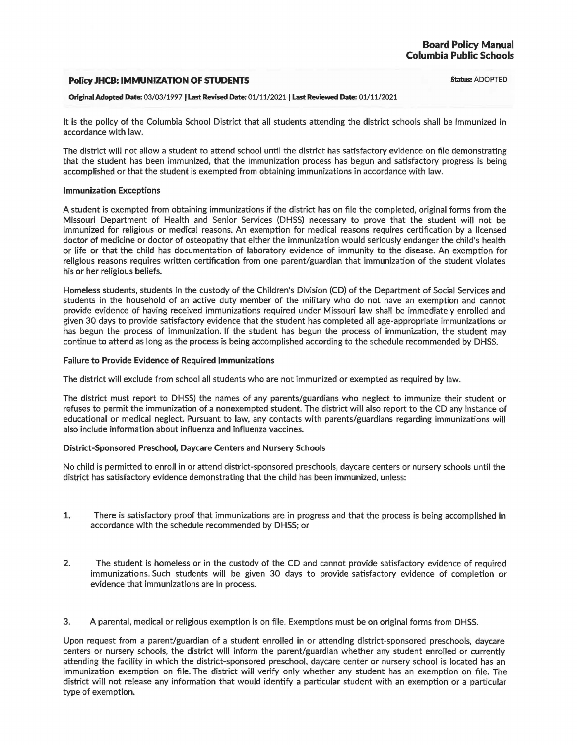### **Policy JHCB: IMMUNIZATION OF STUDENTS**

#### **Original Adopted Date:** 03/03/1997 I Last **Revised Date:** 01/11/2021 I **Last Reviewed Date:** 01/11/2021

It is the policy of the Columbia School District that all students attending the district schools shall be immunized in accordance with law.

The district will not allow a student to attend school until the district has satisfactory evidence on file demonstrating that the student has been immunized, that the immunization process has begun and satisfactory progress is being accomplished or that the student is exempted from obtaining immunizations in accordance with law.

### **Immunization Exceptions**

A student is exempted from obtaining immunizations if the district has on file the completed, original forms from the Missouri Department of Health and Senior Services (DHSS) necessary to prove that the student will not be immunized for religious or medical reasons. An exemption for medical reasons requires certification by a licensed doctor of medicine or doctor of osteopathy that either the immunization would seriously endanger the child's health or life or that the child has documentation of laboratory evidence of immunity to the disease. An exemption for religious reasons requires written certification from one parent/guardian that immunization of the student violates his or her religious beliefs.

Homeless students, students in the custody of the Children's Division (CD) of the Department of Social Services and students in the household of an active duty member of the military who do not have an exemption and cannot provide evidence of having received immunizations required under Missouri law shall be immediately enrolled and given 30 days to provide satisfactory evidence that the student has completed all age-appropriate immunizations or has begun the process of immunization. If the student has begun the process of immunization, the student may continue to attend as long as the process is being accomplished according to the schedule recommended by DHSS.

### **Failure to Provide Evidence of Required Immunizations**

The district will exclude from school all students who are not immunized or exempted as required by law.

The district must report to DHSS) the names of any parents/guardians who neglect to immunize their student or refuses to permit the immunization of a nonexempted student. The district will also report to the CD any instance of educational or medical neglect. Pursuant to law, any contacts with parents/guardians regarding immunizations will also include information about influenza and influenza vaccines.

## **District-Sponsored Preschool, Daycare Centers and Nursery Schools**

No child is permitted to enroll in or attend district-sponsored preschools, daycare centers or nursery schools until the district has satisfactory evidence demonstrating that the child has been immunized, unless:

- 1. There is satisfactory proof that immunizations are in progress and that the process is being accomplished in accordance with the schedule recommended by DHSS; or
- 2. The student is homeless or in the custody of the CD and cannot provide satisfactory evidence of required immunizations. Such students will be given 30 days to provide satisfactory evidence of completion or evidence that immunizations are in process.
- 3. A parental, medical or religious exemption is on file. Exemptions must be on original forms from DHSS.

Upon request from a parent/guardian of a student enrolled in or attending district-sponsored preschools, daycare centers or nursery schools, the district will inform the parent/guardian whether any student enrolled or currently attending the facility in which the district-sponsored preschool, daycare center or nursery school is located has an immunization exemption on file. The district will verify only whether any student has an exemption on file. The district will not release any information that would identify a particular student with an exemption or a particular type of exemption.

**Status:** ADOPTED